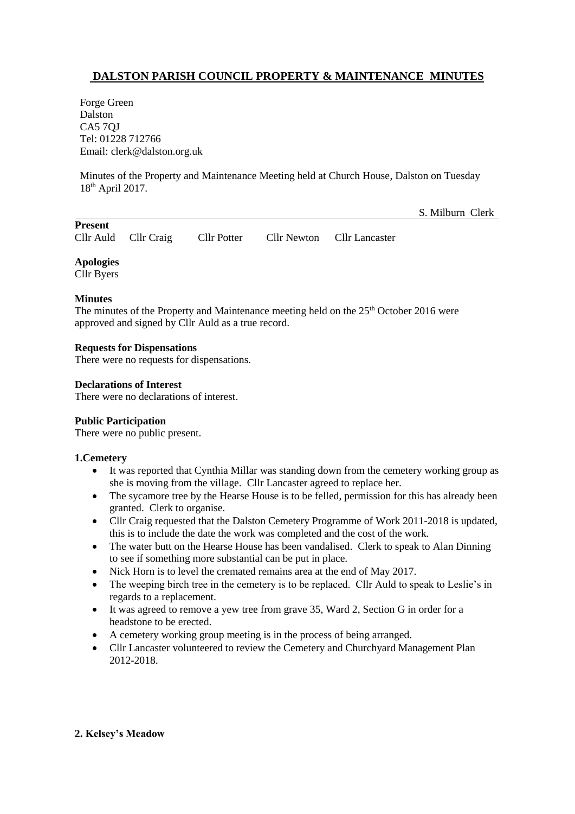# **DALSTON PARISH COUNCIL PROPERTY & MAINTENANCE MINUTES**

Forge Green Dalston CA5 7QJ Tel: 01228 712766 Email: clerk@dalston.org.uk

Minutes of the Property and Maintenance Meeting held at Church House, Dalston on Tuesday 18th April 2017.

S. Milburn Clerk

| <b>Present</b> |                      |             |                            |
|----------------|----------------------|-------------|----------------------------|
|                | Cllr Auld Cllr Craig | Cllr Potter | Cllr Newton Cllr Lancaster |

**Apologies**

Cllr Byers

## **Minutes**

The minutes of the Property and Maintenance meeting held on the 25<sup>th</sup> October 2016 were approved and signed by Cllr Auld as a true record.

## **Requests for Dispensations**

There were no requests for dispensations.

## **Declarations of Interest**

There were no declarations of interest.

## **Public Participation**

There were no public present.

## **1.Cemetery**

- It was reported that Cynthia Millar was standing down from the cemetery working group as she is moving from the village. Cllr Lancaster agreed to replace her.
- The sycamore tree by the Hearse House is to be felled, permission for this has already been granted. Clerk to organise.
- Cllr Craig requested that the Dalston Cemetery Programme of Work 2011-2018 is updated, this is to include the date the work was completed and the cost of the work.
- The water butt on the Hearse House has been vandalised. Clerk to speak to Alan Dinning to see if something more substantial can be put in place.
- Nick Horn is to level the cremated remains area at the end of May 2017.
- The weeping birch tree in the cemetery is to be replaced. Cllr Auld to speak to Leslie's in regards to a replacement.
- It was agreed to remove a yew tree from grave 35, Ward 2, Section G in order for a headstone to be erected.
- A cemetery working group meeting is in the process of being arranged.
- Cllr Lancaster volunteered to review the Cemetery and Churchyard Management Plan 2012-2018.

## **2. Kelsey's Meadow**